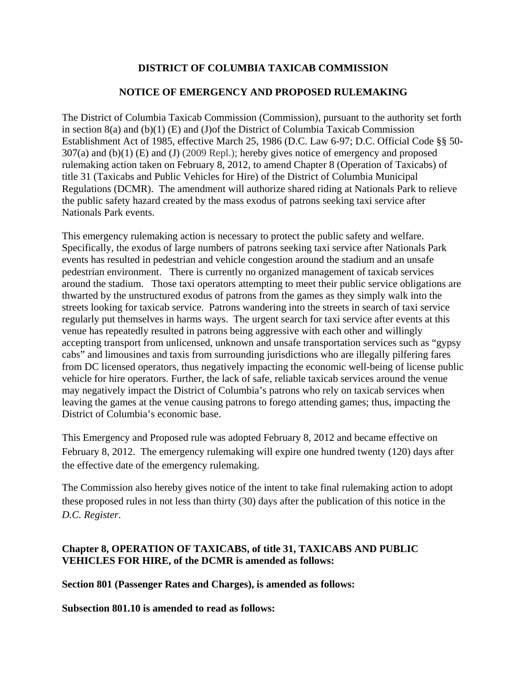# **DISTRICT OF COLUMBIA TAXICAB COMMISSION**

### **NOTICE OF EMERGENCY AND PROPOSED RULEMAKING**

The District of Columbia Taxicab Commission (Commission), pursuant to the authority set forth in section 8(a) and (b)(1) (E) and (J)of the District of Columbia Taxicab Commission Establishment Act of 1985, effective March 25, 1986 (D.C. Law 6-97; D.C. Official Code §§ 50- 307(a) and (b)(1) (E) and (J) (2009 Repl.); hereby gives notice of emergency and proposed rulemaking action taken on February 8, 2012, to amend Chapter 8 (Operation of Taxicabs) of title 31 (Taxicabs and Public Vehicles for Hire) of the District of Columbia Municipal Regulations (DCMR). The amendment will authorize shared riding at Nationals Park to relieve the public safety hazard created by the mass exodus of patrons seeking taxi service after Nationals Park events.

This emergency rulemaking action is necessary to protect the public safety and welfare. Specifically, the exodus of large numbers of patrons seeking taxi service after Nationals Park events has resulted in pedestrian and vehicle congestion around the stadium and an unsafe pedestrian environment. There is currently no organized management of taxicab services around the stadium. Those taxi operators attempting to meet their public service obligations are thwarted by the unstructured exodus of patrons from the games as they simply walk into the streets looking for taxicab service. Patrons wandering into the streets in search of taxi service regularly put themselves in harms ways. The urgent search for taxi service after events at this venue has repeatedly resulted in patrons being aggressive with each other and willingly accepting transport from unlicensed, unknown and unsafe transportation services such as "gypsy cabs" and limousines and taxis from surrounding jurisdictions who are illegally pilfering fares from DC licensed operators, thus negatively impacting the economic well-being of license public vehicle for hire operators. Further, the lack of safe, reliable taxicab services around the venue may negatively impact the District of Columbia's patrons who rely on taxicab services when leaving the games at the venue causing patrons to forego attending games; thus, impacting the District of Columbia's economic base.

This Emergency and Proposed rule was adopted February 8, 2012 and became effective on February 8, 2012. The emergency rulemaking will expire one hundred twenty (120) days after the effective date of the emergency rulemaking.

The Commission also hereby gives notice of the intent to take final rulemaking action to adopt these proposed rules in not less than thirty (30) days after the publication of this notice in the *D.C. Register*.

# **Chapter 8, OPERATION OF TAXICABS, of title 31, TAXICABS AND PUBLIC VEHICLES FOR HIRE, of the DCMR is amended as follows:**

**Section 801 (Passenger Rates and Charges), is amended as follows:**

**Subsection 801.10 is amended to read as follows:**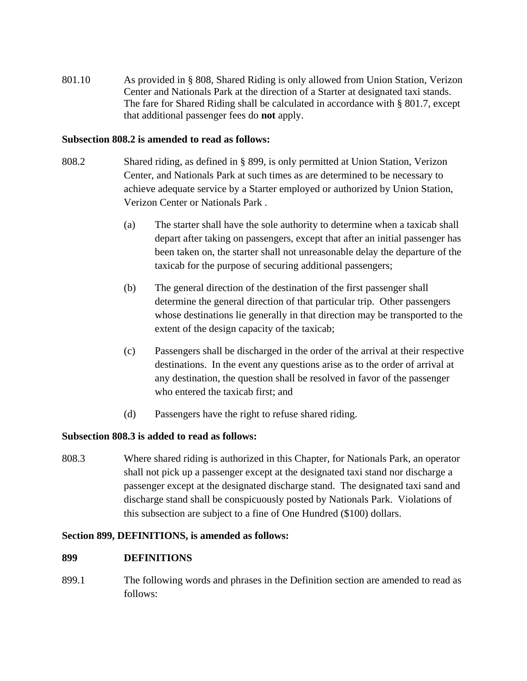801.10 As provided in § 808, Shared Riding is only allowed from Union Station, Verizon Center and Nationals Park at the direction of a Starter at designated taxi stands. The fare for Shared Riding shall be calculated in accordance with § 801.7, except that additional passenger fees do **not** apply.

#### **Subsection 808.2 is amended to read as follows:**

- 808.2 Shared riding, as defined in § 899, is only permitted at Union Station, Verizon Center, and Nationals Park at such times as are determined to be necessary to achieve adequate service by a Starter employed or authorized by Union Station, Verizon Center or Nationals Park .
	- (a) The starter shall have the sole authority to determine when a taxicab shall depart after taking on passengers, except that after an initial passenger has been taken on, the starter shall not unreasonable delay the departure of the taxicab for the purpose of securing additional passengers;
	- (b) The general direction of the destination of the first passenger shall determine the general direction of that particular trip. Other passengers whose destinations lie generally in that direction may be transported to the extent of the design capacity of the taxicab;
	- (c) Passengers shall be discharged in the order of the arrival at their respective destinations. In the event any questions arise as to the order of arrival at any destination, the question shall be resolved in favor of the passenger who entered the taxicab first; and
	- (d) Passengers have the right to refuse shared riding.

### **Subsection 808.3 is added to read as follows:**

808.3 Where shared riding is authorized in this Chapter, for Nationals Park, an operator shall not pick up a passenger except at the designated taxi stand nor discharge a passenger except at the designated discharge stand. The designated taxi sand and discharge stand shall be conspicuously posted by Nationals Park. Violations of this subsection are subject to a fine of One Hundred (\$100) dollars.

#### **Section 899, DEFINITIONS, is amended as follows:**

#### **899 DEFINITIONS**

899.1 The following words and phrases in the Definition section are amended to read as follows: